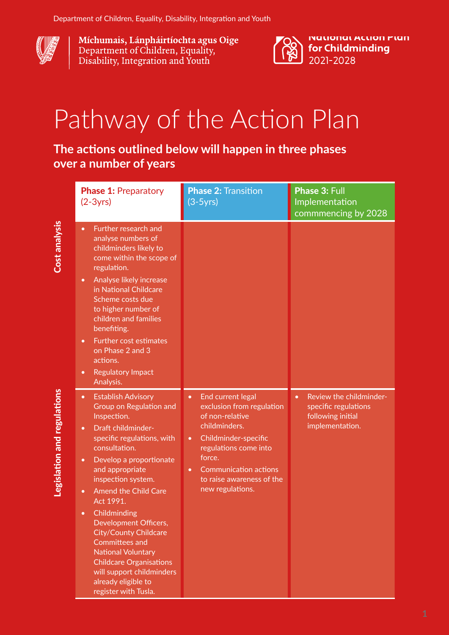

Míchumais, Lánpháirtíochta agus Oige Department of Children, Equality, Disability, Integration and Youth



## Pathway of the Action Plan

## **The actions outlined below will happen in three phases over a number of years**

|  | <b>Phase 1: Preparatory</b><br>$(2-3yrs)$                                                                                                                                                                                                                                                                                                                                                                                                                                                                                                                              | <b>Phase 2: Transition</b><br>$(3-5yrs)$                                                                                                                                                                                                                              | Phase 3: Full<br>Implementation<br>commmencing by 2028                                               |
|--|------------------------------------------------------------------------------------------------------------------------------------------------------------------------------------------------------------------------------------------------------------------------------------------------------------------------------------------------------------------------------------------------------------------------------------------------------------------------------------------------------------------------------------------------------------------------|-----------------------------------------------------------------------------------------------------------------------------------------------------------------------------------------------------------------------------------------------------------------------|------------------------------------------------------------------------------------------------------|
|  | Further research and<br>$\bullet$<br>analyse numbers of<br>childminders likely to<br>come within the scope of<br>regulation.<br>Analyse likely increase<br>$\bullet$<br>in National Childcare<br>Scheme costs due<br>to higher number of<br>children and families<br>benefiting.<br>Further cost estimates<br>$\bullet$<br>on Phase 2 and 3<br>actions.<br><b>Regulatory Impact</b><br>$\bullet$<br>Analysis.                                                                                                                                                          |                                                                                                                                                                                                                                                                       |                                                                                                      |
|  | <b>Establish Advisory</b><br>$\bullet$<br>Group on Regulation and<br>Inspection.<br>Draft childminder-<br>$\bullet$<br>specific regulations, with<br>consultation.<br>Develop a proportionate<br>$\bullet$<br>and appropriate<br>inspection system.<br><b>Amend the Child Care</b><br>$\bullet$<br>Act 1991.<br>Childminding<br>$\bullet$<br>Development Officers,<br><b>City/County Childcare</b><br><b>Committees and</b><br><b>National Voluntary</b><br><b>Childcare Organisations</b><br>will support childminders<br>already eligible to<br>register with Tusla. | End current legal<br>$\bullet$<br>exclusion from regulation<br>of non-relative<br>childminders.<br>Childminder-specific<br>$\bullet$<br>regulations come into<br>force.<br><b>Communication actions</b><br>$\bullet$<br>to raise awareness of the<br>new regulations. | Review the childminder-<br>$\bullet$<br>specific regulations<br>following initial<br>implementation. |

Cost analysis Cost analysis